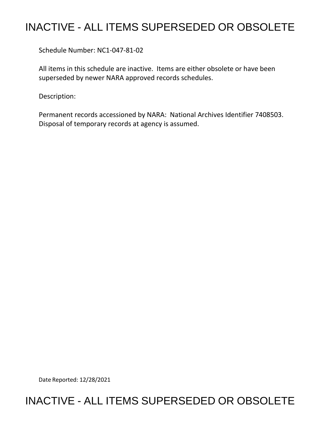## INACTIVE - ALL ITEMS SUPERSEDED OR OBSOLETE

Schedule Number: NC1-047-81-02

 All items in this schedule are inactive. Items are either obsolete or have been superseded by newer NARA approved records schedules.

Description:

 Permanent records accessioned by NARA: National Archives Identifier 7408503. Disposal of temporary records at agency is assumed.

Date Reported: 12/28/2021

## INACTIVE - ALL ITEMS SUPERSEDED OR OBSOLETE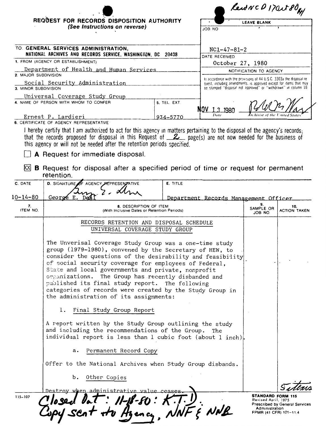|                                                                                                                   | REQUEST FOR RECORDS DISPOSITION AUTHORITY<br>(See Instructions on reverse)                                                                                                                                                                                                                                                                                                                                                                                                                                      |              |                                       | <b>LEAVE BLANK</b><br>ON BOL                                                                                                                                                                                   |                     |  |
|-------------------------------------------------------------------------------------------------------------------|-----------------------------------------------------------------------------------------------------------------------------------------------------------------------------------------------------------------------------------------------------------------------------------------------------------------------------------------------------------------------------------------------------------------------------------------------------------------------------------------------------------------|--------------|---------------------------------------|----------------------------------------------------------------------------------------------------------------------------------------------------------------------------------------------------------------|---------------------|--|
| TO: GENERAL SERVICES ADMINISTRATION,<br>$NC1 - 47 - 81 - 2$                                                       |                                                                                                                                                                                                                                                                                                                                                                                                                                                                                                                 |              |                                       |                                                                                                                                                                                                                |                     |  |
| NATIONAL ARCHIVES AND RECORDS SERVICE, WASHINGTON, DC 20408<br>DATE RECEIVED<br>1. FROM (AGENCY OR ESTABLISHMENT) |                                                                                                                                                                                                                                                                                                                                                                                                                                                                                                                 |              | October 27, 1980                      |                                                                                                                                                                                                                |                     |  |
|                                                                                                                   | Department of Health and Human Services                                                                                                                                                                                                                                                                                                                                                                                                                                                                         |              |                                       | NOTIFICATION TO AGENCY                                                                                                                                                                                         |                     |  |
| 2. MAJOR SUBDIVISION<br>Social Security Administration<br>3. MINOR SUBDIVISION                                    |                                                                                                                                                                                                                                                                                                                                                                                                                                                                                                                 |              |                                       | In accordance with the provisions of 44 U.S.C. 3303a the disposal re-<br>quest, including amendments, is approved except for items that may<br>be stamped "disposal not approved" or "withdrawn" in column 10. |                     |  |
|                                                                                                                   | Universal Coverage Study Group<br>4. NAME OF PERSON WITH WHOM TO CONFER                                                                                                                                                                                                                                                                                                                                                                                                                                         | 5. TEL. EXT. |                                       |                                                                                                                                                                                                                |                     |  |
|                                                                                                                   |                                                                                                                                                                                                                                                                                                                                                                                                                                                                                                                 |              | NOV 1.3 1980                          |                                                                                                                                                                                                                |                     |  |
|                                                                                                                   | Ernest P. Lardieri<br>6. CERTIFICATE OF AGENCY REPRESENTATIVE                                                                                                                                                                                                                                                                                                                                                                                                                                                   | $934 - 5770$ | Date                                  | rehivist of the United Sta                                                                                                                                                                                     |                     |  |
| kΧ∣                                                                                                               | A Request for immediate disposal.<br><b>B</b> Request for disposal after a specified period of time or request for permanent<br>retention.                                                                                                                                                                                                                                                                                                                                                                      |              |                                       |                                                                                                                                                                                                                |                     |  |
| C. DATE                                                                                                           | D. SIGNATURE OF AGENCY REPRESENTATIVE                                                                                                                                                                                                                                                                                                                                                                                                                                                                           | E. TITLE     |                                       |                                                                                                                                                                                                                |                     |  |
|                                                                                                                   |                                                                                                                                                                                                                                                                                                                                                                                                                                                                                                                 |              |                                       |                                                                                                                                                                                                                |                     |  |
|                                                                                                                   |                                                                                                                                                                                                                                                                                                                                                                                                                                                                                                                 |              |                                       |                                                                                                                                                                                                                |                     |  |
| 7.<br>ITEM NO.                                                                                                    | Georgé E. Dea<br>8. DESCRIPTION OF ITEM<br>(With Inclusive Dates or Retention Periods)                                                                                                                                                                                                                                                                                                                                                                                                                          |              | Department Records Management Officer | 9.<br>SAMPLE OR<br>JOB NO.                                                                                                                                                                                     | 10.                 |  |
|                                                                                                                   | RECORDS RETENTION AND DISPOSAL SCHEDULE<br>UNIVERSAL COVERAGE STUDY GROUP                                                                                                                                                                                                                                                                                                                                                                                                                                       |              |                                       |                                                                                                                                                                                                                | <b>ACTION TAKEN</b> |  |
|                                                                                                                   | The Unverisal Coverage Study Group was a one-time study<br>group (1979-1980), convened by the Secretary of HEW, to<br>consider the questions of the desirability and feasibility<br>of social security coverage for employees of Federal,<br>State and local governments and private, nonprofit<br>organizations. The Group has recently disbanded and<br>published its final study report. The following<br>categories of records were created by the Study Group in<br>the administration of its assignments: |              |                                       |                                                                                                                                                                                                                |                     |  |
|                                                                                                                   | Final Study Group Report<br>1.                                                                                                                                                                                                                                                                                                                                                                                                                                                                                  |              |                                       |                                                                                                                                                                                                                |                     |  |
|                                                                                                                   | A report written by the Study Group outlining the study<br>and including the recommendations of the Group.<br>individual report is less than 1 cubic foot (about 1 inch).                                                                                                                                                                                                                                                                                                                                       |              | The                                   |                                                                                                                                                                                                                |                     |  |
|                                                                                                                   | Permanent Record Copy<br>а.                                                                                                                                                                                                                                                                                                                                                                                                                                                                                     |              |                                       |                                                                                                                                                                                                                |                     |  |
|                                                                                                                   | Offer to the National Archives when Study Group disbands.                                                                                                                                                                                                                                                                                                                                                                                                                                                       |              |                                       |                                                                                                                                                                                                                |                     |  |
| 10–14–80                                                                                                          | b. Other Copies                                                                                                                                                                                                                                                                                                                                                                                                                                                                                                 |              |                                       |                                                                                                                                                                                                                |                     |  |